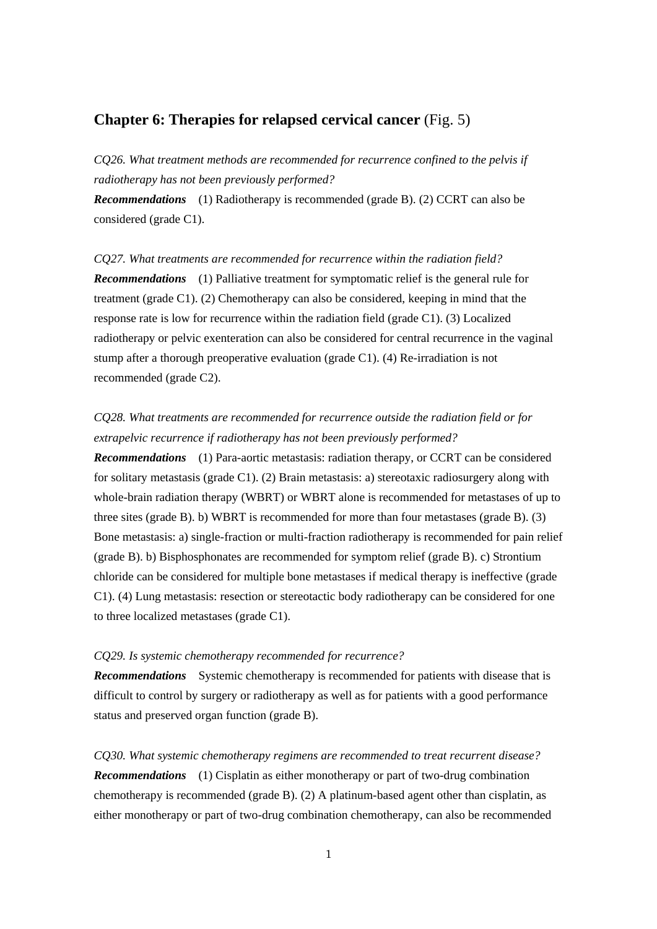## **Chapter 6: Therapies for relapsed cervical cancer** (Fig. 5)

*CQ26. What treatment methods are recommended for recurrence confined to the pelvis if radiotherapy has not been previously performed?*

*Recommendations* (1) Radiotherapy is recommended (grade B). (2) CCRT can also be considered (grade C1).

## *CQ27. What treatments are recommended for recurrence within the radiation field?*

*Recommendations* (1) Palliative treatment for symptomatic relief is the general rule for treatment (grade C1). (2) Chemotherapy can also be considered, keeping in mind that the response rate is low for recurrence within the radiation field (grade C1). (3) Localized radiotherapy or pelvic exenteration can also be considered for central recurrence in the vaginal stump after a thorough preoperative evaluation (grade C1). (4) Re-irradiation is not recommended (grade C2).

## *CQ28. What treatments are recommended for recurrence outside the radiation field or for extrapelvic recurrence if radiotherapy has not been previously performed?*

*Recommendations* (1) Para-aortic metastasis: radiation therapy, or CCRT can be considered for solitary metastasis (grade C1). (2) Brain metastasis: a) stereotaxic radiosurgery along with whole-brain radiation therapy (WBRT) or WBRT alone is recommended for metastases of up to three sites (grade B). b) WBRT is recommended for more than four metastases (grade B). (3) Bone metastasis: a) single-fraction or multi-fraction radiotherapy is recommended for pain relief (grade B). b) Bisphosphonates are recommended for symptom relief (grade B). c) Strontium chloride can be considered for multiple bone metastases if medical therapy is ineffective (grade C1). (4) Lung metastasis: resection or stereotactic body radiotherapy can be considered for one to three localized metastases (grade C1).

## *CQ29. Is systemic chemotherapy recommended for recurrence?*

**Recommendations** Systemic chemotherapy is recommended for patients with disease that is difficult to control by surgery or radiotherapy as well as for patients with a good performance status and preserved organ function (grade B).

*CQ30. What systemic chemotherapy regimens are recommended to treat recurrent disease? Recommendations* (1) Cisplatin as either monotherapy or part of two-drug combination chemotherapy is recommended (grade B). (2) A platinum-based agent other than cisplatin, as either monotherapy or part of two-drug combination chemotherapy, can also be recommended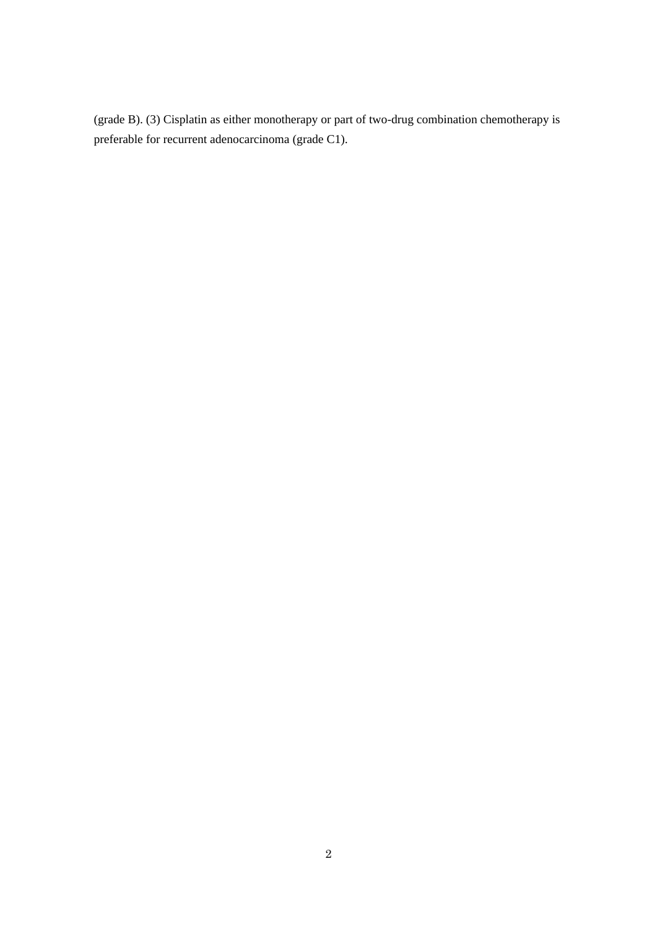(grade B). (3) Cisplatin as either monotherapy or part of two-drug combination chemotherapy is preferable for recurrent adenocarcinoma (grade C1).